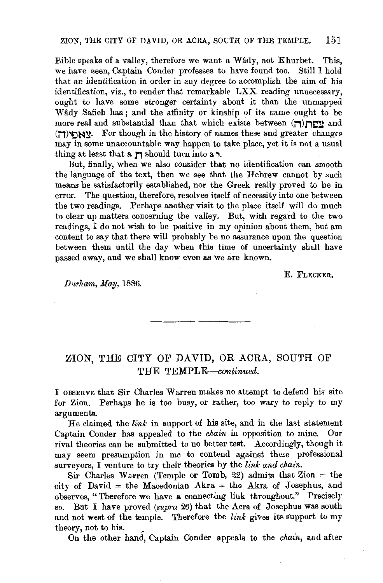Bible speaks of a valley, therefore we want a Wâdy, not Khurbet. This, we have seen, Captain Conder professes to have found too. Still I hold that an identifieation in order in any degree to accomplish the aim of his identifieation, viz., to render that remarkable LXX reading unnecessary, ought to have some stronger certainty about it than the unmapped Wady Safieh has : and the affinity or kinship of its name ought to be more real and substantial than that which exists between  $(\Box)$  and  $(T)$ אַאַחי $($ ד). For though in the history of names these and greater changes may in some unaccountable way happen to take place, yet it is not a usual thing at least that a  $\overline{p}$  should turn into a.,

But, finally, when we also consider that no identifieation ean smooth the language of the text, then we see that the Hebrew cannot by such means be satisfactorily established, nor the Greek really proved to be in error. The question, therefore, resolves itself of necessity into one between the two readings. Perhaps another visit to the place itself will do much to clear up matters concerning the valley. But, with regard to the two readings, I do not wish to be positive in my opinion about them, but am content to say that there will probably be no assurance upon the question between them until the day when this time of uncertainty shall have passed away, and we shall know even as we are known.

E. FLECKER.

*JJurham, May,* 1886.

## ZION, THE CITY OF DAVID, OR ACRA, SOUTH OF THE *TEMPLE-continued.*

I OBSERVE that Sir Charles Warren makes no attempt to defend his site for Zion. Perhaps he is too busy, or rather, too wary to reply to my arguments.

He claimed the *link* in support of his site, and in the last statement Captain Conder has appealed to the *chain* in opposition to mine. Our rival theories can be submitted to no better test. Accordingly, though it may seem presumption in me to contend against these professional surveyors, I venture to try their theories by the *link and chain*.

Sir Charles Warren (Temple or Tomb, 22) admits that  $\text{Zion} = \text{the}$ city of David  $=$  the Macedonian Akra  $=$  the Akra of Josephus, and observes, "Therefore we have a connecting link throughout.'' Precisely so. But I have proved *(supra* 26) that the Acra of Josephus was south and not west of the temple. Therefore the *link* gives its support to my theory, not to his.

On the other hand, Captain Conder appeals to the *chain,* and after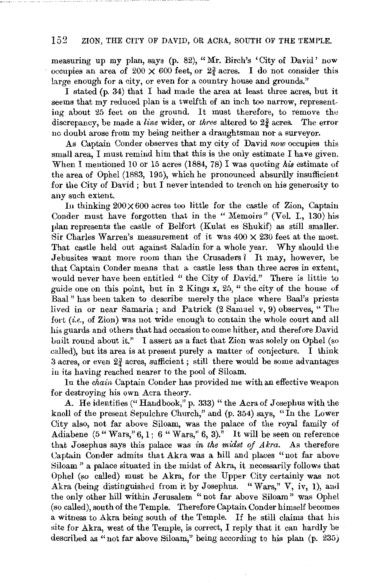## 152 ZION, THE CITY OF DAVID, OR ACRA, SOUTH OF THE TEMPLE.

measuring up my plan, says (p. 82), "Mr. Birch's 'City of David' now occupies an area of  $200 \times 600$  feet, or  $2\frac{3}{4}$  acres. I do not consider this large enough for a city, or even for a country house and grounds."

I stated (p. 34) that I had made the area at least three acres, but it seems that my reduced plan is a twelfth of an inch too narrow, representing about 25 feet on the ground. It must therefore, to remove the discrepancy, be made a *line* wider, or *three* altered to 2f acres. The error no doubt arose from my being neither a draughtsman nor a surveyor.

As Captain Conder observes that my city of David now occupies this small area, I must remind him that this is the only estimate I have given. When I mentioned 10 or 15 acres (1884, 78) I was quoting his estimate of the area of Ophel (1883, 195), which he pronounced absurdly insufficient for the City of David ; but I never intended to trench on his generosity to any such extent.

In thinking  $200 \times 600$  acres too little for the castle of Zion, Captain Conder must have forgotten that in the " Memoirs" (Vol. I., 130) his plan represents the castle of Belfort (Kulat es Shukif) as still smaller. Sir Charles Warren's measurement of it was  $400 \times 230$  feet at the most. That castle held out against Saladin for a whole year. Why should the Jebusites want more room than the Crusaders? It may, however, be that Captain Conder means that a castle less than three acres in extent, would never have been entitled " the City of David." There is little to guide one on this point, but in 2 Kings x, 25, " the city of the house of Baal " has been taken to describe merely the place where Baal's priests lived in or near Samaria; and Patrick (2 Samuel v, 9) observes, "The fort *(i.e.,* of Zion) was not wide enough to contain the whole court and all his guards and others that had occasion to come hither, and therefore David built round about it." I assert as a fact that Zion was solely on Ophel (so called), but its area is at present purely a matter of conjecture. I think 3 acres, or even  $2\frac{3}{4}$  acres, sufficient; still there would be some advantages in its having reached nearer to the pool of Siloam.

In the *chain* Captain Conder has provided me with an effective weapon for destroying his own Acra theory.

A. He identifies ("Handbook," p. 333) " the Acra of Josephus with the knoll of the present Sepulchre Church," and (p. 354) says, "In the Lower City also, not far above Siloam, was the palace of the royal family of Adiabene (5 "Wars,"  $6, 1$ ; 6 "Wars,"  $6, 3$ )." It will be seen on reference that Josephus says this palace was *in the midst of Akra.* As therefore Captain Conder admits that Akra was a hill and places "not far above Siloam " a palace situated in the midst of Akra, it necessarily follows that Ophel (so called) must be Akra, for the Upper City certainly was not Akra (being distinguished from it by Josephus. "Wars," V, iv, 1), and the only other hill within Jerusalem "not far above Siloam" was Ophel (so called), south of the Temple. Therefore Captain Conder himself becomes a witness to Akra being south of the Temple. If he still claims that his site for Akra, west of the Temple, is correct, I reply that it can hardly be described as " not far above Siloam," being according to his plan (p. 235)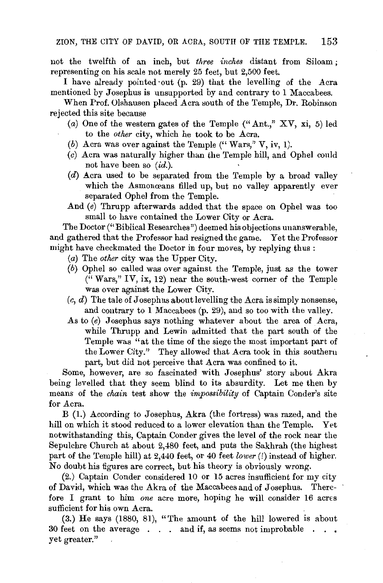not the twelfth of an inch, but *three inches* distant from Siloam ; representing on his scale not merely 25 feet, but 2,500 feet.

I have already pointed ·out (p. 29) that the levelling of the Acra mentioned by Josephus is unsupported by and contrary to 1 Maccabees.

When Prof. Olshausen placed Acra south of the Temple, Dr. Robinson rejected this site because

- (a) One of the western gates of the Temple ("Ant.,"  $XY$ , xi, 5) led to the *other* city, which he took to be Acra.
- (b) Acra was over against the Temple ("Wars," V, iv, 1).
- (c) Acra was naturally higher than the Temple hill, and Ophel could not have been so *(id.)*.
- (d) Acra used to be separated from the Temple by a broad valley which the Asmonœans filled up, but no valley apparently ever separated Ophel from the Temple.
- And  $(e)$  Thrupp afterwards added that the space on Ophel was too small to have contained the Lower City or Acra.

The Doctor ("Biblical Researches") deemed his objections unanswerable, and gathered that the Professor had resigned the game. Yet the Professor might have checkmated the Doctor in four moves, by replying thus :

- (a) The *other* city was the Upper City.
- (b) Ophel so called was over against the Temple, just as the tower  $($ "Wars," IV, ix, 12) near the south-west corner of the Temple was over against the Lower City.
- $(c, d)$  The tale of Josephus about levelling the Acra is simply nonsense, and contrary to 1 Maccabees (p. 29), and so too with the valley.
- As to (e) Josephus says nothing whatever about the area of Acra, while Thrupp and Lewin admitted that the part south of the Temple was "at the time of the siege the most important part of the Lower City." They allowed that Acra took in this southern part, but did not perceive that Acra was confined to it.

Some, however, are so fascinated with Josephus' story about Akra being levelled that they seem blind to its absurdity. Let me then by means of the *chain* test show the *impossibility* of Captain Conder's site for Acra.

B (1.) According to Josephus, Akra (the fortress) was razed, and the hill on which it stood reduced to a lower elevation than the Temple. Yet notwithstanding this, Captain Conder gives the level of the rock near the Sepulchre Church at about 2,480 feet, and puts the Sakhrah (the highest part of the Temple hill) at 2,440 feet, or 40 feet *lower*(!) instead of higher. No doubt his figures are correct, but his theory is obviously wrong.

(2.) Captain Conder considered 10 or 15 acres insufficient for my city of David, which was the Akra of the Maccabees and of Josephus. Therefore I grant to him one acre more, hoping he will consider 16 acres sufficient for his own Acra.

(3.) He says (1880, 81), "The amount of the hill lowered is about 30 feet on the average . . . and if, as seems not improbable . . . yet greater."